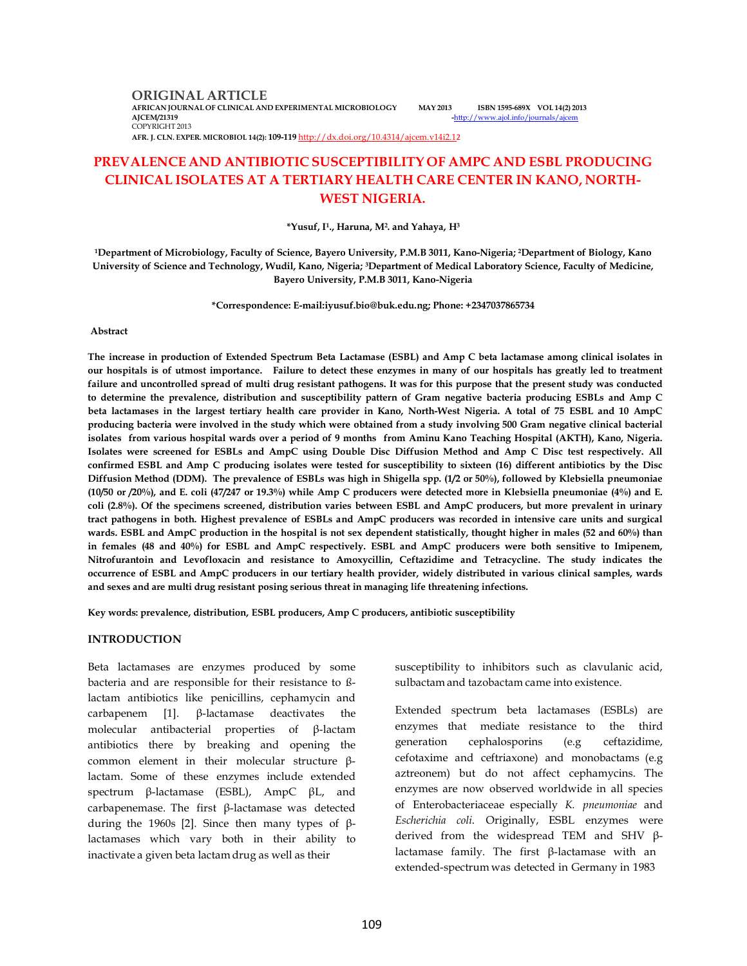**ORIGINAL ARTICLE AFRICAN JOURNAL OF CLINICAL AND EXPERIMENTAL MICROBIOLOGY MAY 2013 ISBN 1595-689X VOL 14(2) 2013** COPYRIGHT 2013

-http://www.ajol.info/journals/a

**AFR. J. CLN. EXPER. MICROBIOL 14(2): 109-119** http://dx.doi.org/10.4314/ajcem.v14i2.12

# **PREVALENCE AND ANTIBIOTIC SUSCEPTIBILITY OF AMPC AND ESBL PRODUCING CLINICAL ISOLATES AT A TERTIARY HEALTH CARE CENTER IN KANO, NORTH-WEST NIGERIA.**

**\*Yusuf, I<sup>1</sup> ., Haruna, M<sup>2</sup> . and Yahaya, H<sup>3</sup>**

**<sup>1</sup>Department of Microbiology, Faculty of Science, Bayero University, P.M.B 3011, Kano-Nigeria; 2Department of Biology, Kano University of Science and Technology, Wudil, Kano, Nigeria; 3Department of Medical Laboratory Science, Faculty of Medicine, Bayero University, P.M.B 3011, Kano-Nigeria**

**\*Correspondence: E-mail:iyusuf.bio@buk.edu.ng; Phone: +2347037865734**

#### **Abstract**

**The increase in production of Extended Spectrum Beta Lactamase (ESBL) and Amp C beta lactamase among clinical isolates in our hospitals is of utmost importance. Failure to detect these enzymes in many of our hospitals has greatly led to treatment failure and uncontrolled spread of multi drug resistant pathogens. It was for this purpose that the present study was conducted to determine the prevalence, distribution and susceptibility pattern of Gram negative bacteria producing ESBLs and Amp C beta lactamases in the largest tertiary health care provider in Kano, North-West Nigeria. A total of 75 ESBL and 10 AmpC producing bacteria were involved in the study which were obtained from a study involving 500 Gram negative clinical bacterial isolates from various hospital wards over a period of 9 months from Aminu Kano Teaching Hospital (AKTH), Kano, Nigeria. Isolates were screened for ESBLs and AmpC using Double Disc Diffusion Method and Amp C Disc test respectively. All confirmed ESBL and Amp C producing isolates were tested for susceptibility to sixteen (16) different antibiotics by the Disc Diffusion Method (DDM). The prevalence of ESBLs was high in Shigella spp. (1/2 or 50%), followed by Klebsiella pneumoniae (10/50 or /20%), and E. coli (47/247 or 19.3%) while Amp C producers were detected more in Klebsiella pneumoniae (4%) and E. coli (2.8%). Of the specimens screened, distribution varies between ESBL and AmpC producers, but more prevalent in urinary tract pathogens in both. Highest prevalence of ESBLs and AmpC producers was recorded in intensive care units and surgical wards. ESBL and AmpC production in the hospital is not sex dependent statistically, thought higher in males (52 and 60%) than in females (48 and 40%) for ESBL and AmpC respectively. ESBL and AmpC producers were both sensitive to Imipenem, Nitrofurantoin and Levofloxacin and resistance to Amoxycillin, Ceftazidime and Tetracycline. The study indicates the occurrence of ESBL and AmpC producers in our tertiary health provider, widely distributed in various clinical samples, wards and sexes and are multi drug resistant posing serious threat in managing life threatening infections.**

**Key words: prevalence, distribution, ESBL producers, Amp C producers, antibiotic susceptibility**

#### **INTRODUCTION**

Beta lactamases are enzymes produced by some bacteria and are responsible for their resistance to ßlactam antibiotics like penicillins, cephamycin and carbapenem [1]. β-lactamase deactivates the molecular antibacterial properties of β-lactam antibiotics there by breaking and opening the common element in their molecular structure βlactam. Some of these enzymes include extended spectrum β-lactamase (ESBL), AmpC βL, and carbapenemase. The first β-lactamase was detected during the 1960s [2]. Since then many types of βlactamases which vary both in their ability to inactivate a given beta lactam drug as well as their

susceptibility to inhibitors such as clavulanic acid, sulbactam and tazobactam came into existence.

Extended spectrum beta lactamases (ESBLs) are enzymes that mediate resistance to the third generation cephalosporins (e.g ceftazidime, cefotaxime and ceftriaxone) and monobactams (e.g aztreonem) but do not affect cephamycins. The enzymes are now observed worldwide in all species of Enterobacteriaceae especially *K. pneumoniae* and *Escherichia coli*. Originally, ESBL enzymes were derived from the widespread TEM and SHV βlactamase family. The first β-lactamase with an extended-spectrum was detected in Germany in 1983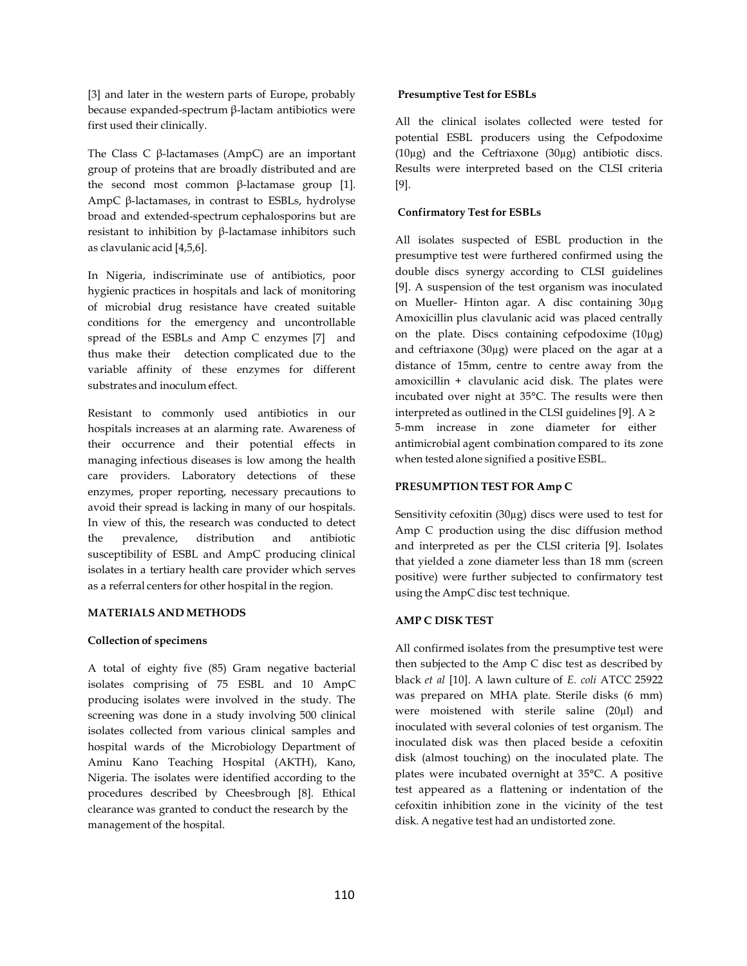[3] and later in the western parts of Europe, probably because expanded-spectrum β-lactam antibiotics were first used their clinically.

The Class C  $β$ -lactamases (AmpC) are an important group of proteins that are broadly distributed and are the second most common β-lactamase group [1]. AmpC β-lactamases, in contrast to ESBLs, hydrolyse broad and extended-spectrum cephalosporins but are resistant to inhibition by β-lactamase inhibitors such as clavulanic acid [4,5,6].

In Nigeria, indiscriminate use of antibiotics, poor hygienic practices in hospitals and lack of monitoring of microbial drug resistance have created suitable conditions for the emergency and uncontrollable spread of the ESBLs and Amp C enzymes [7] and thus make their detection complicated due to the variable affinity of these enzymes for different substrates and inoculum effect.

Resistant to commonly used antibiotics in our hospitals increases at an alarming rate. Awareness of their occurrence and their potential effects in managing infectious diseases is low among the health care providers. Laboratory detections of these enzymes, proper reporting, necessary precautions to avoid their spread is lacking in many of our hospitals. In view of this, the research was conducted to detect the prevalence, distribution and antibiotic susceptibility of ESBL and AmpC producing clinical isolates in a tertiary health care provider which serves as a referral centers for other hospital in the region.

### **MATERIALS AND METHODS**

### **Collection of specimens**

A total of eighty five (85) Gram negative bacterial isolates comprising of 75 ESBL and 10 AmpC producing isolates were involved in the study. The screening was done in a study involving 500 clinical isolates collected from various clinical samples and hospital wards of the Microbiology Department of Aminu Kano Teaching Hospital (AKTH), Kano, Nigeria. The isolates were identified according to the procedures described by Cheesbrough [8]. Ethical clearance was granted to conduct the research by the management of the hospital.

### **Presumptive Test for ESBLs**

All the clinical isolates collected were tested for potential ESBL producers using the Cefpodoxime (10µg) and the Ceftriaxone (30µg) antibiotic discs. Results were interpreted based on the CLSI criteria [9].

## **Confirmatory Test for ESBLs**

All isolates suspected of ESBL production in the presumptive test were furthered confirmed using the double discs synergy according to CLSI guidelines [9]. A suspension of the test organism was inoculated on Mueller- Hinton agar. A disc containing 30µg Amoxicillin plus clavulanic acid was placed centrally on the plate. Discs containing cefpodoxime  $(10\mu$ g) and ceftriaxone (30µg) were placed on the agar at a distance of 15mm, centre to centre away from the amoxicillin + clavulanic acid disk. The plates were incubated over night at 35°C. The results were then interpreted as outlined in the CLSI guidelines [9].  $A \ge$ 5-mm increase in zone diameter for either antimicrobial agent combination compared to its zone when tested alone signified a positive ESBL.

## **PRESUMPTION TEST FOR Amp C**

Sensitivity cefoxitin (30µg) discs were used to test for Amp C production using the disc diffusion method and interpreted as per the CLSI criteria [9]. Isolates that yielded a zone diameter less than 18 mm (screen positive) were further subjected to confirmatory test using the AmpC disc test technique.

## **AMP C DISK TEST**

All confirmed isolates from the presumptive test were then subjected to the Amp C disc test as described by black *et al* [10]. A lawn culture of *E. coli* ATCC 25922 was prepared on MHA plate. Sterile disks (6 mm) were moistened with sterile saline (20µl) and inoculated with several colonies of test organism. The inoculated disk was then placed beside a cefoxitin disk (almost touching) on the inoculated plate. The plates were incubated overnight at 35°C. A positive test appeared as a flattening or indentation of the cefoxitin inhibition zone in the vicinity of the test disk. A negative test had an undistorted zone.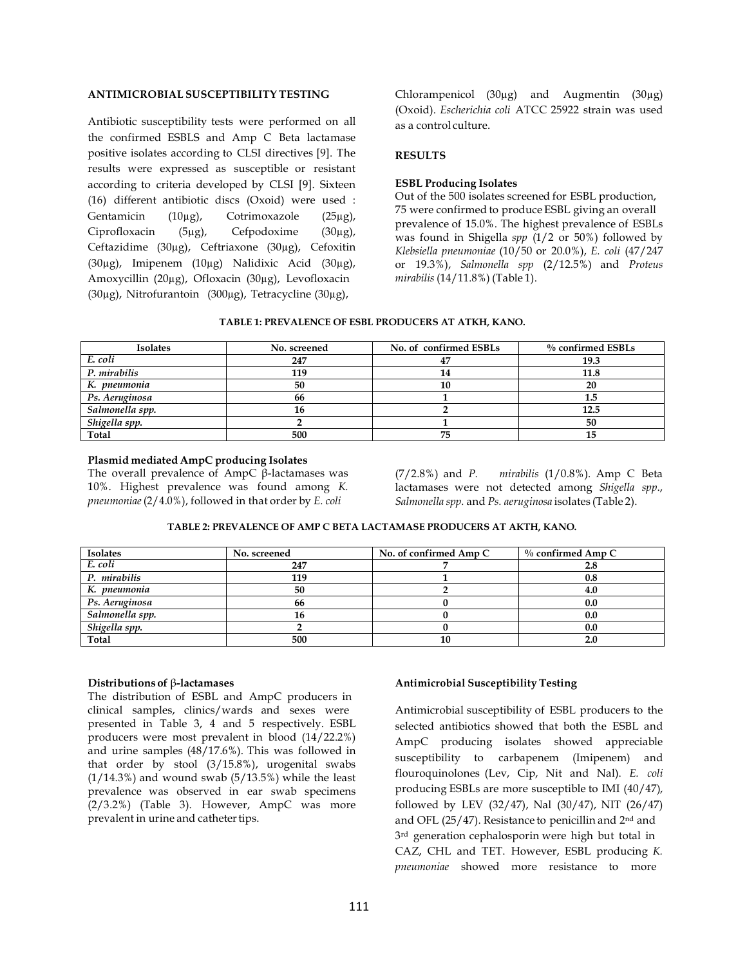## **ANTIMICROBIAL SUSCEPTIBILITY TESTING**

Antibiotic susceptibility tests were performed on all the confirmed ESBLS and Amp C Beta lactamase positive isolates according to CLSI directives [9]. The results were expressed as susceptible or resistant according to criteria developed by CLSI [9]. Sixteen (16) different antibiotic discs (Oxoid) were used : Gentamicin (10µg), Cotrimoxazole (25µg), Ciprofloxacin (5µg), Cefpodoxime (30µg), Ceftazidime (30µg), Ceftriaxone (30µg), Cefoxitin (30µg), Imipenem (10µg) Nalidixic Acid (30µg), Amoxycillin (20µg), Ofloxacin (30µg), Levofloxacin (30µg), Nitrofurantoin (300µg), Tetracycline (30µg),

Chlorampenicol (30µg) and Augmentin (30µg) (Oxoid). *Escherichia coli* ATCC 25922 strain was used as a control culture.

## **RESULTS**

### **ESBL Producing Isolates**

Out of the 500 isolates screened for ESBL production, 75 were confirmed to produce ESBL giving an overall prevalence of 15.0%. The highest prevalence of ESBLs was found in Shigella *spp* (1/2 or 50%) followed by *Klebsiella pneumoniae* (10/50 or 20.0%), *E. coli* (47/247 or 19.3%), *Salmonella spp* (2/12.5%) and *Proteus mirabilis* (14/11.8%) (Table 1).

### **TABLE 1: PREVALENCE OF ESBL PRODUCERS AT ATKH, KANO.**

| <b>Isolates</b> | No. screened | No. of confirmed ESBLs | $%$ confirmed ESBLs |
|-----------------|--------------|------------------------|---------------------|
| E. coli         | 247          | 47                     | 19.3                |
| P. mirabilis    | 119          | 14                     | 11.8                |
| K. pneumonia    | 50           | 10                     | 20                  |
| Ps. Aeruginosa  | 66           |                        | 1.5                 |
| Salmonella spp. | 16           |                        | 12.5                |
| Shigella spp.   |              |                        | 50                  |
| Total           | 500          | 75                     |                     |

#### **Plasmid mediated AmpC producing Isolates**

The overall prevalence of AmpC β-lactamases was 10%. Highest prevalence was found among *K. pneumoniae* (2/4.0%), followed in that order by *E. coli*

(7/2.8%) and *P. mirabilis* (1/0.8%). Amp C Beta lactamases were not detected among *Shigella spp*., *Salmonella spp.* and *Ps. aeruginosa* isolates (Table 2).

#### **TABLE 2: PREVALENCE OF AMP C BETA LACTAMASE PRODUCERS AT AKTH, KANO.**

| <b>Isolates</b> | No. screened | No. of confirmed Amp C | $\%$ confirmed Amp C |  |
|-----------------|--------------|------------------------|----------------------|--|
| E. coli         | 247          |                        | 2.8                  |  |
| P. mirabilis    | 119          |                        | 0.8                  |  |
| K. pneumonia    | 50           |                        | 4.0                  |  |
| Ps. Aeruginosa  | 66           |                        | 0.0                  |  |
| Salmonella spp. | 16           |                        | 0.0                  |  |
| Shigella spp.   |              |                        | 0.0                  |  |
| Total           | 500          | 10                     | 2.0                  |  |

#### **Distributions of** β**-lactamases**

The distribution of ESBL and AmpC producers in clinical samples, clinics/wards and sexes were presented in Table 3, 4 and 5 respectively. ESBL producers were most prevalent in blood (14/22.2%) and urine samples (48/17.6%). This was followed in that order by stool (3/15.8%), urogenital swabs  $(1/14.3%)$  and wound swab  $(5/13.5%)$  while the least prevalence was observed in ear swab specimens (2/3.2%) (Table 3). However, AmpC was more prevalent in urine and catheter tips.

### **Antimicrobial Susceptibility Testing**

Antimicrobial susceptibility of ESBL producers to the selected antibiotics showed that both the ESBL and AmpC producing isolates showed appreciable susceptibility to carbapenem (Imipenem) and flouroquinolones (Lev, Cip, Nit and Nal). *E. coli*  producing ESBLs are more susceptible to IMI (40/47), followed by LEV (32/47), Nal (30/47), NIT (26/47) and OFL (25/47). Resistance to penicillin and 2nd and 3rd generation cephalosporin were high but total in CAZ, CHL and TET. However, ESBL producing *K. pneumoniae* showed more resistance to more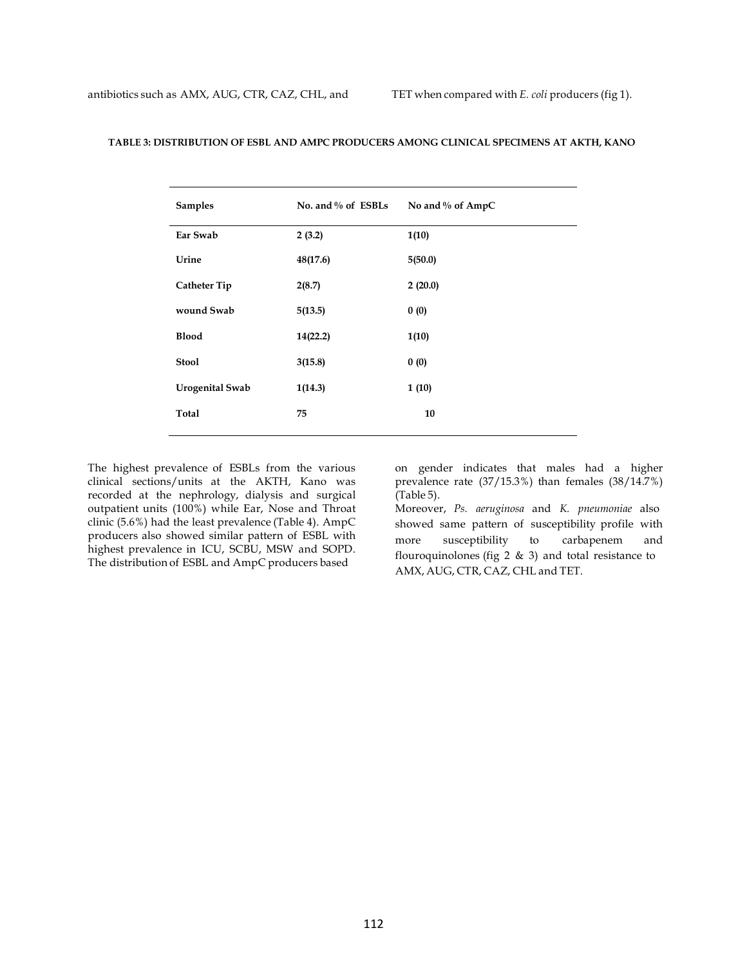| <b>Samples</b>         | No. and % of ESBLs | No and % of AmpC |
|------------------------|--------------------|------------------|
| Ear Swab               | 2(3.2)             | 1(10)            |
| Urine                  | 48(17.6)           | 5(50.0)          |
| <b>Catheter Tip</b>    | 2(8.7)             | 2(20.0)          |
| wound Swab             | 5(13.5)            | 0(0)             |
| <b>Blood</b>           | 14(22.2)           | 1(10)            |
| <b>Stool</b>           | 3(15.8)            | 0(0)             |
| <b>Urogenital Swab</b> | 1(14.3)            | 1(10)            |
| Total                  | 75                 | 10               |

### **TABLE 3: DISTRIBUTION OF ESBL AND AMPC PRODUCERS AMONG CLINICAL SPECIMENS AT AKTH, KANO**

The highest prevalence of ESBLs from the various clinical sections/units at the AKTH, Kano was recorded at the nephrology, dialysis and surgical outpatient units (100%) while Ear, Nose and Throat clinic (5.6%) had the least prevalence (Table 4). AmpC producers also showed similar pattern of ESBL with highest prevalence in ICU, SCBU, MSW and SOPD. The distribution of ESBL and AmpC producers based

on gender indicates that males had a higher prevalence rate (37/15.3%) than females (38/14.7%) (Table 5).

Moreover, *Ps. aeruginosa* and *K. pneumoniae* also showed same pattern of susceptibility profile with more susceptibility to carbapenem and flouroquinolones (fig  $2 \& 3$ ) and total resistance to AMX, AUG, CTR, CAZ, CHL and TET.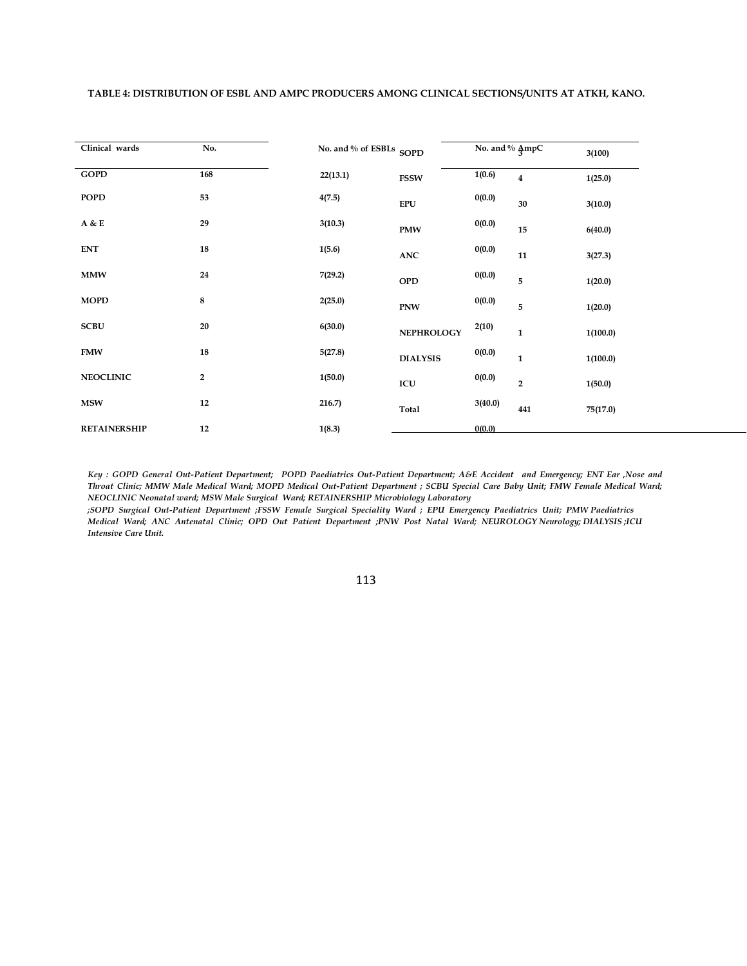|--|

| Clinical wards      | No.            | No. and % of ESBLs SOPD |                   | No. and % AmpC |                         | 3(100)   |
|---------------------|----------------|-------------------------|-------------------|----------------|-------------------------|----------|
| <b>GOPD</b>         | 168            | 22(13.1)                | <b>FSSW</b>       | 1(0.6)         | $\overline{\mathbf{4}}$ | 1(25.0)  |
| <b>POPD</b>         | 53             | 4(7.5)                  | <b>EPU</b>        | 0(0.0)         | 30                      | 3(10.0)  |
| A & E               | 29             | 3(10.3)                 | <b>PMW</b>        | 0(0.0)         | 15                      | 6(40.0)  |
| <b>ENT</b>          | 18             | 1(5.6)                  | <b>ANC</b>        | 0(0.0)         | 11                      | 3(27.3)  |
| <b>MMW</b>          | 24             | 7(29.2)                 | <b>OPD</b>        | 0(0.0)         | 5                       | 1(20.0)  |
| <b>MOPD</b>         | 8              | 2(25.0)                 | <b>PNW</b>        | 0(0.0)         | 5                       | 1(20.0)  |
| <b>SCBU</b>         | 20             | 6(30.0)                 | <b>NEPHROLOGY</b> | 2(10)          | $\mathbf{1}$            | 1(100.0) |
| <b>FMW</b>          | 18             | 5(27.8)                 | <b>DIALYSIS</b>   | 0(0.0)         | $\mathbf 1$             | 1(100.0) |
| <b>NEOCLINIC</b>    | $\overline{2}$ | 1(50.0)                 | ICU               | 0(0.0)         | $\overline{2}$          | 1(50.0)  |
| <b>MSW</b>          | 12             | 216.7)                  | Total             | 3(40.0)        | 441                     | 75(17.0) |
| <b>RETAINERSHIP</b> | 12             | 1(8.3)                  |                   | 0(0.0)         |                         |          |

*Key : GOPD General Out-Patient Department; POPD Paediatrics Out-Patient Department; A&E Accident and Emergency; ENT Ear ,Nose and Throat Clinic; MMW Male Medical Ward; MOPD Medical Out-Patient Department ; SCBU Special Care Baby Unit; FMW Female Medical Ward; NEOCLINIC Neonatal ward; MSW Male Surgical Ward; RETAINERSHIP Microbiology Laboratory*

*;SOPD Surgical Out-Patient Department ;FSSW Female Surgical Speciality Ward ; EPU Emergency Paediatrics Unit; PMW Paediatrics Medical Ward; ANC Antenatal Clinic; OPD Out Patient Department ;PNW Post Natal Ward; NEUROLOGY Neurology; DIALYSIS ;ICU Intensive Care Unit.*

113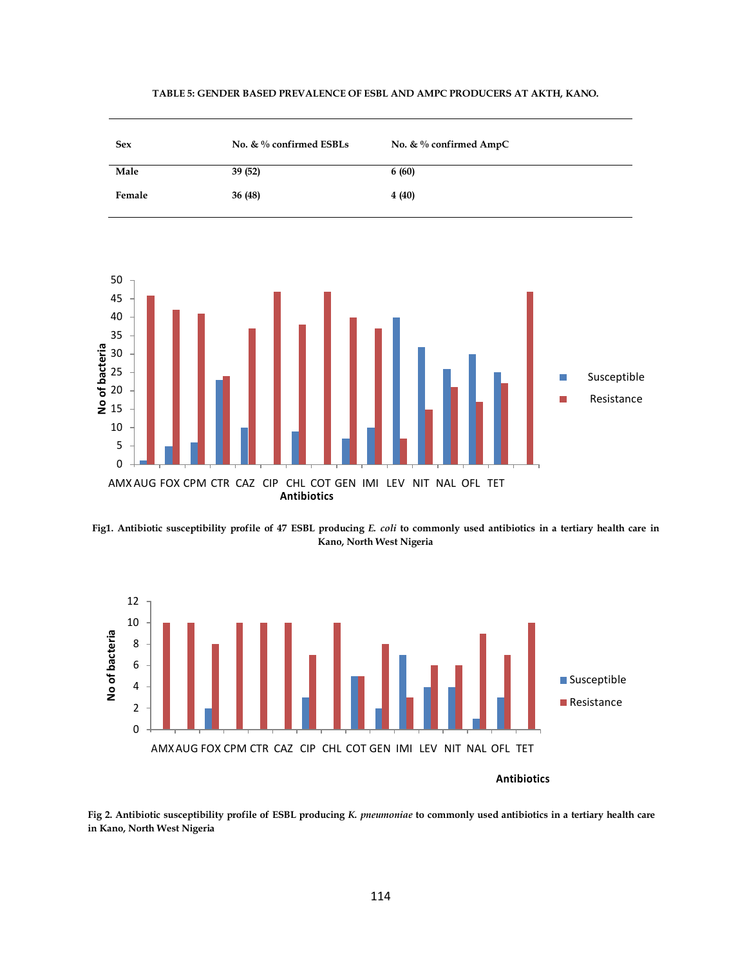

#### **TABLE 5: GENDER BASED PREVALENCE OF ESBL AND AMPC PRODUCERS AT AKTH, KANO.**

**Fig1. Antibiotic susceptibility profile of 47 ESBL producing** *E. coli* **to commonly used antibiotics in a tertiary health care in Kano, North West Nigeria**



**Fig 2. Antibiotic susceptibility profile of ESBL producing** *K. pneumoniae* **to commonly used antibiotics in a tertiary health care in Kano, North West Nigeria**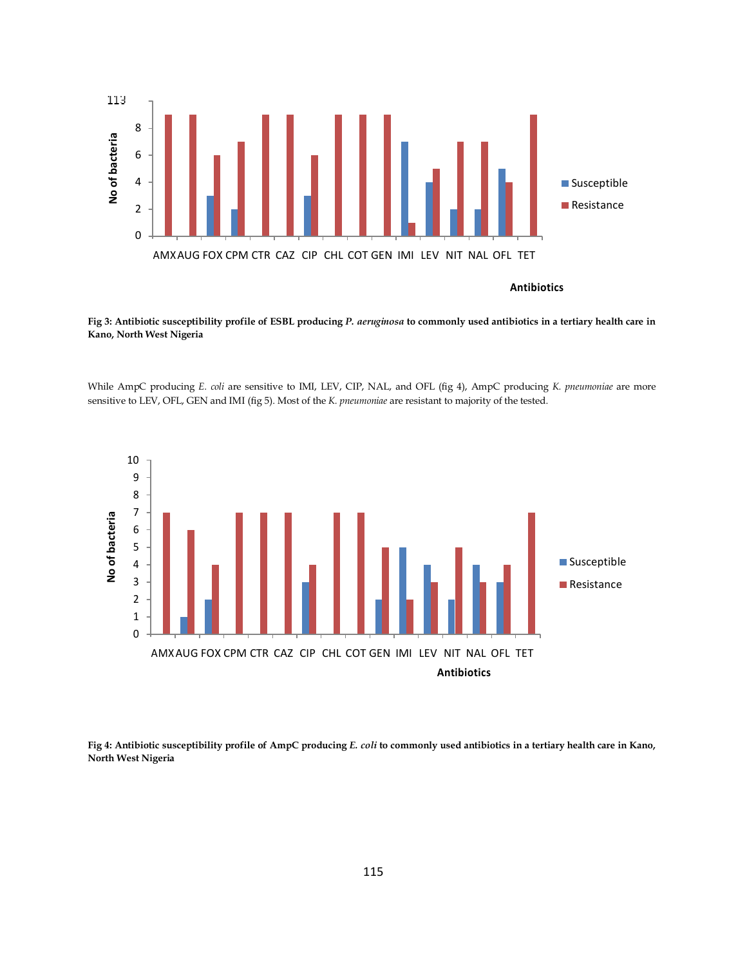

**Fig 3: Antibiotic susceptibility profile of ESBL producing** *P. aeruginosa* **to commonly used antibiotics in a tertiary health care in Kano, North West Nigeria**

While AmpC producing *E. coli* are sensitive to IMI, LEV, CIP, NAL, and OFL (fig 4), AmpC producing *K. pneumoniae* are more sensitive to LEV, OFL, GEN and IMI (fig 5). Most of the *K. pneumoniae* are resistant to majority of the tested.



**Fig 4: Antibiotic susceptibility profile of AmpC producing** *E. coli* **to commonly used antibiotics in a tertiary health care in Kano, North West Nigeria**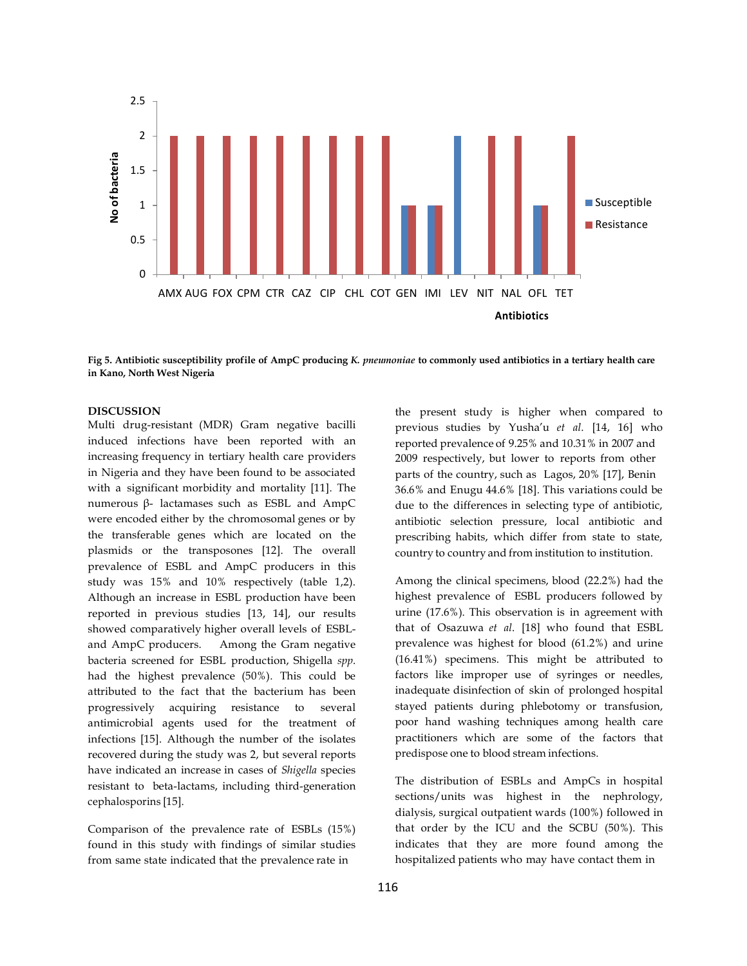

**Fig 5. Antibiotic susceptibility profile of AmpC producing** *K. pneumoniae* **to commonly used antibiotics in a tertiary health care in Kano, North West Nigeria**

#### **DISCUSSION**

Multi drug-resistant (MDR) Gram negative bacilli induced infections have been reported with an increasing frequency in tertiary health care providers in Nigeria and they have been found to be associated with a significant morbidity and mortality [11]. The numerous β- lactamases such as ESBL and AmpC were encoded either by the chromosomal genes or by the transferable genes which are located on the plasmids or the transposones [12]. The overall prevalence of ESBL and AmpC producers in this study was 15% and 10% respectively (table 1,2). Although an increase in ESBL production have been reported in previous studies [13, 14], our results showed comparatively higher overall levels of ESBLand AmpC producers. Among the Gram negative bacteria screened for ESBL production, Shigella *spp*. had the highest prevalence (50%). This could be attributed to the fact that the bacterium has been progressively acquiring resistance to several antimicrobial agents used for the treatment of infections [15]. Although the number of the isolates recovered during the study was 2, but several reports have indicated an increase in cases of *Shigella* species resistant to beta-lactams, including third-generation cephalosporins [15].

Comparison of the prevalence rate of ESBLs (15%) found in this study with findings of similar studies from same state indicated that the prevalence rate in

the present study is higher when compared to previous studies by Yusha'u *et al*. [14, 16] who reported prevalence of 9.25% and 10.31% in 2007 and 2009 respectively, but lower to reports from other parts of the country, such as Lagos, 20% [17], Benin 36.6% and Enugu 44.6% [18]. This variations could be due to the differences in selecting type of antibiotic, antibiotic selection pressure, local antibiotic and prescribing habits, which differ from state to state, country to country and from institution to institution.

Among the clinical specimens, blood (22.2%) had the highest prevalence of ESBL producers followed by urine (17.6%). This observation is in agreement with that of Osazuwa *et al*. [18] who found that ESBL prevalence was highest for blood (61.2%) and urine (16.41%) specimens. This might be attributed to factors like improper use of syringes or needles, inadequate disinfection of skin of prolonged hospital stayed patients during phlebotomy or transfusion, poor hand washing techniques among health care practitioners which are some of the factors that predispose one to blood stream infections.

The distribution of ESBLs and AmpCs in hospital sections/units was highest in the nephrology, dialysis, surgical outpatient wards (100%) followed in that order by the ICU and the SCBU (50%). This indicates that they are more found among the hospitalized patients who may have contact them in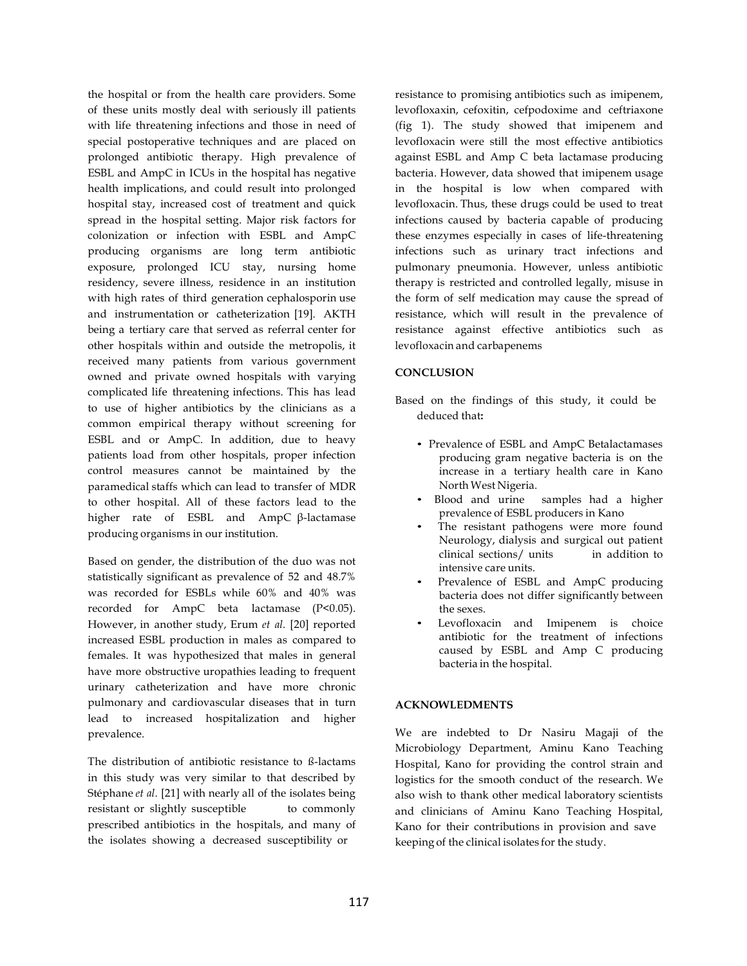the hospital or from the health care providers. Some of these units mostly deal with seriously ill patients with life threatening infections and those in need of special postoperative techniques and are placed on prolonged antibiotic therapy. High prevalence of ESBL and AmpC in ICUs in the hospital has negative health implications, and could result into prolonged hospital stay, increased cost of treatment and quick spread in the hospital setting. Major risk factors for colonization or infection with ESBL and AmpC producing organisms are long term antibiotic exposure, prolonged ICU stay, nursing home residency, severe illness, residence in an institution with high rates of third generation cephalosporin use and instrumentation or catheterization [19]. AKTH being a tertiary care that served as referral center for other hospitals within and outside the metropolis, it received many patients from various government owned and private owned hospitals with varying complicated life threatening infections. This has lead to use of higher antibiotics by the clinicians as a common empirical therapy without screening for ESBL and or AmpC. In addition, due to heavy patients load from other hospitals, proper infection control measures cannot be maintained by the paramedical staffs which can lead to transfer of MDR to other hospital. All of these factors lead to the higher rate of ESBL and AmpC β-lactamase producing organisms in our institution.

Based on gender, the distribution of the duo was not statistically significant as prevalence of 52 and 48.7% was recorded for ESBLs while 60% and 40% was recorded for AmpC beta lactamase (P<0.05). However, in another study, Erum *et al*. [20] reported increased ESBL production in males as compared to females. It was hypothesized that males in general have more obstructive uropathies leading to frequent urinary catheterization and have more chronic pulmonary and cardiovascular diseases that in turn lead to increased hospitalization and higher prevalence.

The distribution of antibiotic resistance to ß-lactams in this study was very similar to that described by Stéphane *et al*. [21] with nearly all of the isolates being resistant or slightly susceptible to commonly prescribed antibiotics in the hospitals, and many of the isolates showing a decreased susceptibility or

resistance to promising antibiotics such as imipenem, levofloxaxin, cefoxitin, cefpodoxime and ceftriaxone (fig 1). The study showed that imipenem and levofloxacin were still the most effective antibiotics against ESBL and Amp C beta lactamase producing bacteria. However, data showed that imipenem usage in the hospital is low when compared with levofloxacin. Thus, these drugs could be used to treat infections caused by bacteria capable of producing these enzymes especially in cases of life-threatening infections such as urinary tract infections and pulmonary pneumonia. However, unless antibiotic therapy is restricted and controlled legally, misuse in the form of self medication may cause the spread of resistance, which will result in the prevalence of resistance against effective antibiotics such as levofloxacin and carbapenems

### **CONCLUSION**

Based on the findings of this study, it could be deduced that**:**

- Prevalence of ESBL and AmpC Betalactamases producing gram negative bacteria is on the increase in a tertiary health care in Kano North West Nigeria.
- Blood and urine samples had a higher prevalence of ESBL producers in Kano
- The resistant pathogens were more found Neurology, dialysis and surgical out patient clinical sections/ units in addition to intensive care units.
- Prevalence of ESBL and AmpC producing bacteria does not differ significantly between the sexes.
- Levofloxacin and Imipenem is choice antibiotic for the treatment of infections caused by ESBL and Amp C producing bacteria in the hospital.

### **ACKNOWLEDMENTS**

We are indebted to Dr Nasiru Magaji of the Microbiology Department, Aminu Kano Teaching Hospital, Kano for providing the control strain and logistics for the smooth conduct of the research. We also wish to thank other medical laboratory scientists and clinicians of Aminu Kano Teaching Hospital, Kano for their contributions in provision and save keeping of the clinical isolates for the study.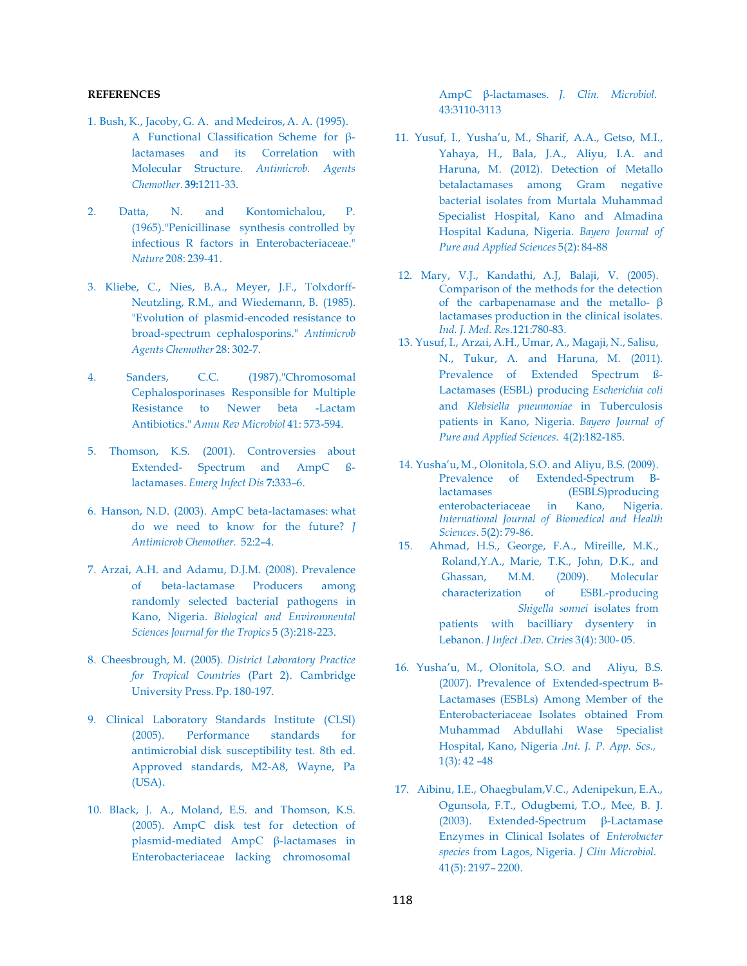## **REFERENCES**

- 1. Bush, K., Jacoby, G. A. and Medeiros, A. A. (1995). A Functional Classification Scheme for βlactamases and its Correlation with Molecular Structure. *Antimicrob. Agents Chemother*. **39:**1211-33.
- 2. Datta, N. and Kontomichalou, P. (1965)."Penicillinase synthesis controlled by infectious R factors in Enterobacteriaceae." *Nature* 208: 239-41.
- 3. Kliebe, C., Nies, B.A., Meyer, J.F., Tolxdorff-Neutzling, R.M., and Wiedemann, B. (1985). "Evolution of plasmid-encoded resistance to broad-spectrum cephalosporins." *Antimicrob Agents Chemother* 28: 302-7.
- 4. Sanders, C.C. (1987)."Chromosomal Cephalosporinases Responsible for Multiple Resistance to Newer beta -Lactam Antibiotics." *Annu Rev Microbiol* 41: 573-594.
- 5. Thomson, K.S. (2001). Controversies about Extended- Spectrum and AmpC ßlactamases. *Emerg Infect Dis* **7:**333–6.
- 6. Hanson, N.D. (2003). AmpC beta-lactamases: what do we need to know for the future? *J Antimicrob Chemother.* 52:2–4.
- 7. Arzai, A.H. and Adamu, D.J.M. (2008). Prevalence of beta-lactamase Producers among randomly selected bacterial pathogens in Kano, Nigeria. *Biological and Environmental Sciences Journal for the Tropics* 5 (3):218-223.
- 8. Cheesbrough, M. (2005). *District Laboratory Practice for Tropical Countries* (Part 2). Cambridge University Press. Pp. 180-197.
- 9. Clinical Laboratory Standards Institute (CLSI) (2005). Performance standards for antimicrobial disk susceptibility test. 8th ed. Approved standards, M2-A8, Wayne, Pa (USA).
- 10. Black, J. A., Moland, E.S. and Thomson, K.S. (2005). AmpC disk test for detection of plasmid-mediated AmpC β-lactamases in Enterobacteriaceae lacking chromosomal

AmpC β-lactamases. *J. Clin. Microbiol.* 43:3110-3113

- 11. Yusuf, I., Yusha'u, M., Sharif, A.A., Getso, M.I., Yahaya, H., Bala, J.A., Aliyu, I.A. and Haruna, M. (2012). Detection of Metallo betalactamases among Gram negative bacterial isolates from Murtala Muhammad Specialist Hospital, Kano and Almadina Hospital Kaduna, Nigeria. *Bayero Journal of Pure and Applied Sciences* 5(2): 84-88
- 12. Mary, V.J., Kandathi, A.J, Balaji, V. (2005). Comparison of the methods for the detection of the carbapenamase and the metallo-  $\beta$ lactamases production in the clinical isolates. *Ind. J. Med. Res*.121:780-83.
- 13. Yusuf, I., Arzai, A.H., Umar, A., Magaji, N., Salisu, N., Tukur, A. and Haruna, M. (2011). Prevalence of Extended Spectrum ß-Lactamases (ESBL) producing *Escherichia coli*  and *Klebsiella pneumoniae* in Tuberculosis patients in Kano, Nigeria. *Bayero Journal of Pure and Applied Sciences.* 4(2):182-185.
- 14. Yusha'u, M., Olonitola, S.O. and Aliyu, B.S. (2009). Prevalence of Extended-Spectrum Βlactamases (ESBLS)producing enterobacteriaceae in Kano, Nigeria. *International Journal of Biomedical and Health Sciences*. 5(2): 79-86.
- 15. Ahmad, H.S., George, F.A., Mireille, M.K., Roland,Y.A., Marie, T.K., John, D.K., and Ghassan, M.M. (2009). Molecular characterization of ESBL-producing *Shigella sonnei* isolates from patients with bacilliary dysentery in Lebanon. *J Infect .Dev. Ctries* 3(4): 300- 05.
- 16. Yusha'u, M., Olonitola, S.O. and Aliyu, B.S. (2007). Prevalence of Extended-spectrum Β-Lactamases (ESBLs) Among Member of the Enterobacteriaceae Isolates obtained From Muhammad Abdullahi Wase Specialist Hospital, Kano, Nigeria *.Int. J. P. App. Scs.,*  $1(3): 42 - 48$
- 17. Aibinu, I.E., Ohaegbulam,V.C., Adenipekun, E.A., Ogunsola, F.T., Odugbemi, T.O., Mee, B. J. (2003). Extended-Spectrum β-Lactamase Enzymes in Clinical Isolates of *Enterobacter species* from Lagos, Nigeria. *J Clin Microbiol.* 41(5): 2197– 2200.